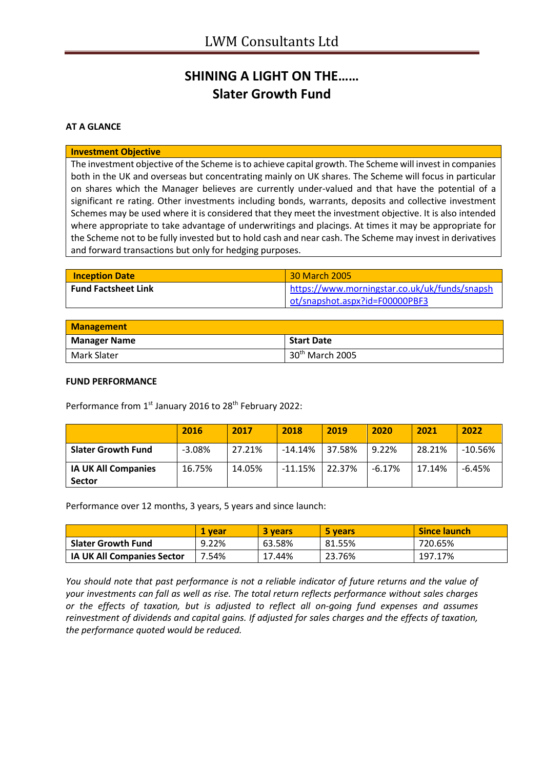## **SHINING A LIGHT ON THE…… Slater Growth Fund**

### **AT A GLANCE**

#### **Investment Objective**

The investment objective of the Scheme is to achieve capital growth. The Scheme will invest in companies both in the UK and overseas but concentrating mainly on UK shares. The Scheme will focus in particular on shares which the Manager believes are currently under-valued and that have the potential of a significant re rating. Other investments including bonds, warrants, deposits and collective investment Schemes may be used where it is considered that they meet the investment objective. It is also intended where appropriate to take advantage of underwritings and placings. At times it may be appropriate for the Scheme not to be fully invested but to hold cash and near cash. The Scheme may invest in derivatives and forward transactions but only for hedging purposes.

| <b>Inception Date</b>      | 30 March 2005                                 |
|----------------------------|-----------------------------------------------|
| <b>Fund Factsheet Link</b> | https://www.morningstar.co.uk/uk/funds/snapsh |
|                            | ot/snapshot.aspx?id=F00000PBF3                |

| <b>Management</b>   |                             |
|---------------------|-----------------------------|
| <b>Manager Name</b> | <b>Start Date</b>           |
| Mark Slater         | 30 <sup>th</sup> March 2005 |

#### **FUND PERFORMANCE**

Performance from 1<sup>st</sup> January 2016 to 28<sup>th</sup> February 2022:

|                            | 2016     | 2017   | 2018      | 2019   | 2020     | 2021   | 2022      |
|----------------------------|----------|--------|-----------|--------|----------|--------|-----------|
| <b>Slater Growth Fund</b>  | $-3.08%$ | 27.21% | $-14.14%$ | 37.58% | 9.22%    | 28.21% | $-10.56%$ |
| <b>IA UK All Companies</b> | 16.75%   | 14.05% | $-11.15%$ | 22.37% | $-6.17%$ | 17.14% | $-6.45%$  |
| <b>Sector</b>              |          |        |           |        |          |        |           |

Performance over 12 months, 3 years, 5 years and since launch:

|                                   | <b>1 vear</b> | 3 vears | 5 years | <b>Since launch</b> |
|-----------------------------------|---------------|---------|---------|---------------------|
| <b>Slater Growth Fund</b>         | 9.22%         | 63.58%  | 81.55%  | 720.65%             |
| <b>IA UK All Companies Sector</b> | 7.54%         | 17.44%  | 23.76%  | 197.17%             |

*You should note that past performance is not a reliable indicator of future returns and the value of your investments can fall as well as rise. The total return reflects performance without sales charges or the effects of taxation, but is adjusted to reflect all on-going fund expenses and assumes reinvestment of dividends and capital gains. If adjusted for sales charges and the effects of taxation, the performance quoted would be reduced.*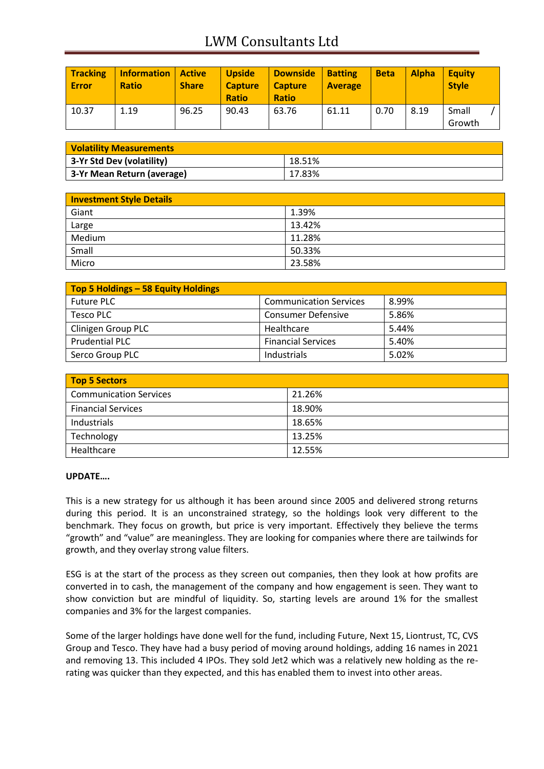# LWM Consultants Ltd

| <b>Tracking</b><br><b>Error</b> | <b>Information</b><br><b>Ratio</b> | Active<br><b>Share</b> | <b>Upside</b><br><b>Capture</b><br><b>Ratio</b> | <b>Downside</b><br><b>Capture</b><br><b>Ratio</b> | <b>Batting</b><br><b>Average</b> | <b>Beta</b> | <b>Alpha</b> | <b>Equity</b><br><b>Style</b> |
|---------------------------------|------------------------------------|------------------------|-------------------------------------------------|---------------------------------------------------|----------------------------------|-------------|--------------|-------------------------------|
| 10.37                           | 1.19                               | 96.25                  | 90.43                                           | 63.76                                             | 61.11                            | 0.70        | 8.19         | Small<br>Growth               |

| <b>Volatility Measurements</b> |        |  |
|--------------------------------|--------|--|
| 3-Yr Std Dev (volatility)      | 18.51% |  |
| 3-Yr Mean Return (average)     | 17.83% |  |

| Investment Style Details |        |  |
|--------------------------|--------|--|
| Giant                    | 1.39%  |  |
| Large                    | 13.42% |  |
| Medium                   | 11.28% |  |
| Small                    | 50.33% |  |
| Micro                    | 23.58% |  |

| Top 5 Holdings - 58 Equity Holdings |                               |       |
|-------------------------------------|-------------------------------|-------|
| <b>Future PLC</b>                   | <b>Communication Services</b> | 8.99% |
| Tesco PLC                           | <b>Consumer Defensive</b>     | 5.86% |
| <b>Clinigen Group PLC</b>           | Healthcare                    | 5.44% |
| <b>Prudential PLC</b>               | <b>Financial Services</b>     | 5.40% |
| Serco Group PLC                     | Industrials                   | 5.02% |

| <b>Top 5 Sectors</b>          |        |
|-------------------------------|--------|
| <b>Communication Services</b> | 21.26% |
| <b>Financial Services</b>     | 18.90% |
| Industrials                   | 18.65% |
| Technology                    | 13.25% |
| Healthcare                    | 12.55% |

#### **UPDATE….**

This is a new strategy for us although it has been around since 2005 and delivered strong returns during this period. It is an unconstrained strategy, so the holdings look very different to the benchmark. They focus on growth, but price is very important. Effectively they believe the terms "growth" and "value" are meaningless. They are looking for companies where there are tailwinds for growth, and they overlay strong value filters.

ESG is at the start of the process as they screen out companies, then they look at how profits are converted in to cash, the management of the company and how engagement is seen. They want to show conviction but are mindful of liquidity. So, starting levels are around 1% for the smallest companies and 3% for the largest companies.

Some of the larger holdings have done well for the fund, including Future, Next 15, Liontrust, TC, CVS Group and Tesco. They have had a busy period of moving around holdings, adding 16 names in 2021 and removing 13. This included 4 IPOs. They sold Jet2 which was a relatively new holding as the rerating was quicker than they expected, and this has enabled them to invest into other areas.